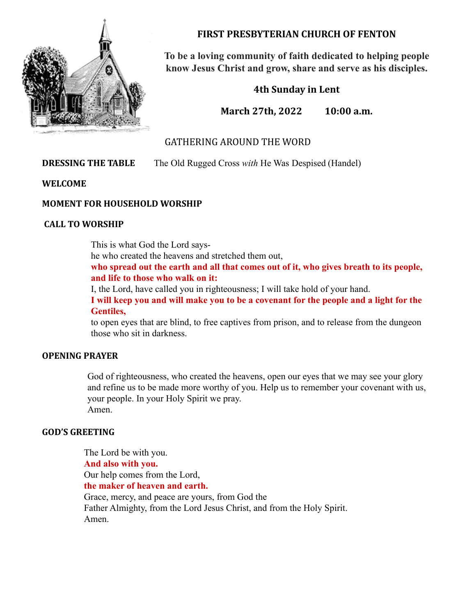

**FIRST PRESBYTERIAN CHURCH OF FENTON**

**To be a loving community of faith dedicated to helping people know Jesus Christ and grow, share and serve as his disciples.**

**4th Sunday in Lent**

**March 27th, 2022 10:00 a.m.**

# GATHERING AROUND THE WORD

**DRESSING THE TABLE** The Old Rugged Cross *with* He Was Despised (Handel)

**WELCOME**

# **MOMENT FOR HOUSEHOLD WORSHIP**

# **CALL TO WORSHIP**

This is what God the Lord says-

he who created the heavens and stretched them out,

**who spread out the earth and all that comes out of it, who gives breath to its people, and life to those who walk on it:**

I, the Lord, have called you in righteousness; I will take hold of your hand.

**I will keep you and will make you to be a covenant for the people and a light for the Gentiles,**

to open eyes that are blind, to free captives from prison, and to release from the dungeon those who sit in darkness.

# **OPENING PRAYER**

God of righteousness, who created the heavens, open our eyes that we may see your glory and refine us to be made more worthy of you. Help us to remember your covenant with us, your people. In your Holy Spirit we pray. Amen.

# **GOD'S GREETING**

The Lord be with you. **And also with you.** Our help comes from the Lord, **the maker of heaven and earth.** Grace, mercy, and peace are yours, from God the Father Almighty, from the Lord Jesus Christ, and from the Holy Spirit. Amen.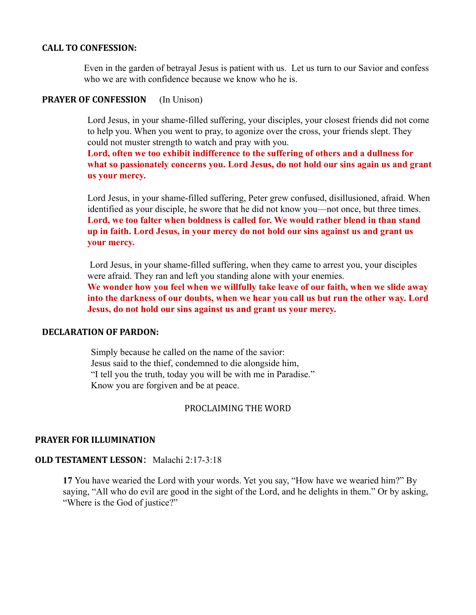#### **CALL TO CONFESSION:**

Even in the garden of betrayal Jesus is patient with us. Let us turn to our Savior and confess who we are with confidence because we know who he is.

# **PRAYER OF CONFESSION** (In Unison)

Lord Jesus, in your shame-filled suffering, your disciples, your closest friends did not come to help you. When you went to pray, to agonize over the cross, your friends slept. They could not muster strength to watch and pray with you.

**Lord, often we too exhibit indifference to the suffering of others and a dullness for what so passionately concerns you. Lord Jesus, do not hold our sins again us and grant us your mercy.**

Lord Jesus, in your shame-filled suffering, Peter grew confused, disillusioned, afraid. When identified as your disciple, he swore that he did not know you—not once, but three times. **Lord, we too falter when boldness is called for. We would rather blend in than stand up in faith. Lord Jesus, in your mercy do not hold our sins against us and grant us your mercy.**

Lord Jesus, in your shame-filled suffering, when they came to arrest you, your disciples were afraid. They ran and left you standing alone with your enemies.

**We wonder how you feel when we willfully take leave of our faith, when we slide away into the darkness of our doubts, when we hear you call us but run the other way. Lord Jesus, do not hold our sins against us and grant us your mercy.**

#### **DECLARATION OF PARDON:**

Simply because he called on the name of the savior: Jesus said to the thief, condemned to die alongside him, "I tell you the truth, today you will be with me in Paradise." Know you are forgiven and be at peace.

# PROCLAIMING THE WORD

# **PRAYER FOR ILLUMINATION**

# **OLD TESTAMENT LESSON**: Malachi 2:17-3:18

**17** You have wearied the Lord with your words. Yet you say, "How have we wearied him?" By saying, "All who do evil are good in the sight of the Lord, and he delights in them." Or by asking, "Where is the God of justice?"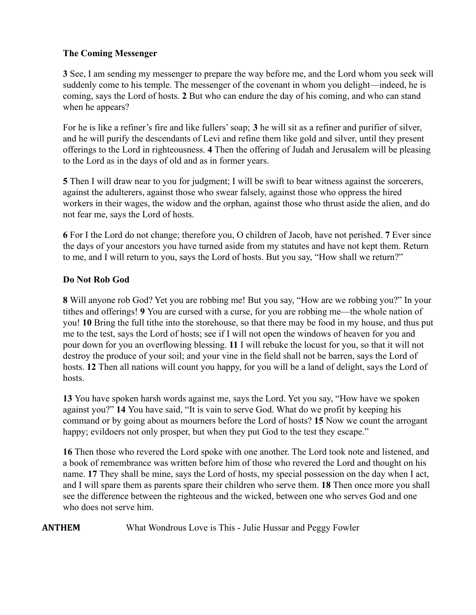# **The Coming Messenger**

**3** See, I am sending my messenger to prepare the way before me, and the Lord whom you seek will suddenly come to his temple. The messenger of the covenant in whom you delight—indeed, he is coming, says the Lord of hosts. **2** But who can endure the day of his coming, and who can stand when he appears?

For he is like a refiner's fire and like fullers' soap; **3** he will sit as a refiner and purifier of silver, and he will purify the descendants of Levi and refine them like gold and silver, until they present offerings to the Lord in righteousness. **4** Then the offering of Judah and Jerusalem will be pleasing to the Lord as in the days of old and as in former years.

**5** Then I will draw near to you for judgment; I will be swift to bear witness against the sorcerers, against the adulterers, against those who swear falsely, against those who oppress the hired workers in their wages, the widow and the orphan, against those who thrust aside the alien, and do not fear me, says the Lord of hosts.

**6** For I the Lord do not change; therefore you, O children of Jacob, have not perished. **7** Ever since the days of your ancestors you have turned aside from my statutes and have not kept them. Return to me, and I will return to you, says the Lord of hosts. But you say, "How shall we return?"

# **Do Not Rob God**

**8** Will anyone rob God? Yet you are robbing me! But you say, "How are we robbing you?" In your tithes and offerings! **9** You are cursed with a curse, for you are robbing me—the whole nation of you! **10** Bring the full tithe into the storehouse, so that there may be food in my house, and thus put me to the test, says the Lord of hosts; see if I will not open the windows of heaven for you and pour down for you an overflowing blessing. **11** I will rebuke the locust for you, so that it will not destroy the produce of your soil; and your vine in the field shall not be barren, says the Lord of hosts. **12** Then all nations will count you happy, for you will be a land of delight, says the Lord of hosts.

**13** You have spoken harsh words against me, says the Lord. Yet you say, "How have we spoken against you?" **14** You have said, "It is vain to serve God. What do we profit by keeping his command or by going about as mourners before the Lord of hosts? **15** Now we count the arrogant happy; evildoers not only prosper, but when they put God to the test they escape."

**16** Then those who revered the Lord spoke with one another. The Lord took note and listened, and a book of remembrance was written before him of those who revered the Lord and thought on his name. **17** They shall be mine, says the Lord of hosts, my special possession on the day when I act, and I will spare them as parents spare their children who serve them. **18** Then once more you shall see the difference between the righteous and the wicked, between one who serves God and one who does not serve him.

**ANTHEM** What Wondrous Love is This - Julie Hussar and Peggy Fowler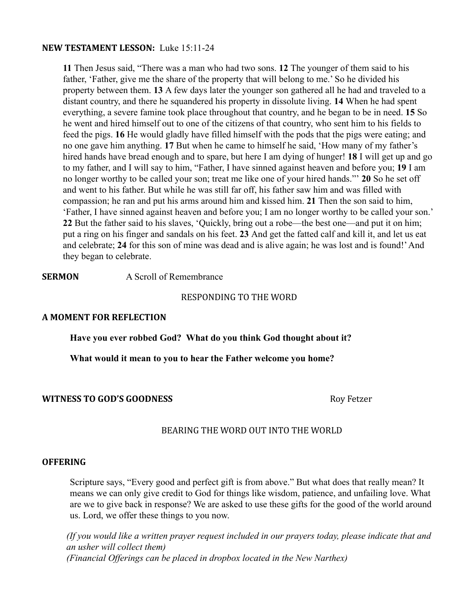#### **NEW TESTAMENT LESSON:** Luke 15:11-24

**11** Then Jesus said, "There was a man who had two sons. **12** The younger of them said to his father, 'Father, give me the share of the property that will belong to me.' So he divided his property between them. **13** A few days later the younger son gathered all he had and traveled to a distant country, and there he squandered his property in dissolute living. **14** When he had spent everything, a severe famine took place throughout that country, and he began to be in need. **15** So he went and hired himself out to one of the citizens of that country, who sent him to his fields to feed the pigs. **16** He would gladly have filled himself with the pods that the pigs were eating; and no one gave him anything. **17** But when he came to himself he said, 'How many of my father's hired hands have bread enough and to spare, but here I am dying of hunger! **18** I will get up and go to my father, and I will say to him, "Father, I have sinned against heaven and before you; **19** I am no longer worthy to be called your son; treat me like one of your hired hands."' **20** So he set off and went to his father. But while he was still far off, his father saw him and was filled with compassion; he ran and put his arms around him and kissed him. **21** Then the son said to him, 'Father, I have sinned against heaven and before you; I am no longer worthy to be called your son.' **22** But the father said to his slaves, 'Quickly, bring out a robe—the best one—and put it on him; put a ring on his finger and sandals on his feet. **23** And get the fatted calf and kill it, and let us eat and celebrate; **24** for this son of mine was dead and is alive again; he was lost and is found!'And they began to celebrate.

**SERMON** A Scroll of Remembrance

#### RESPONDING TO THE WORD

# **A MOMENT FOR REFLECTION**

**Have you ever robbed God? What do you think God thought about it?**

**What would it mean to you to hear the Father welcome you home?**

# **WITNESS TO GOD'S GOODNESS** And the state of the state of the state of the state of the state of the state of the state of the state of the state of the state of the state of the state of the state of the state of the stat

# BEARING THE WORD OUT INTO THE WORLD

#### **OFFERING**

Scripture says, "Every good and perfect gift is from above." But what does that really mean? It means we can only give credit to God for things like wisdom, patience, and unfailing love. What are we to give back in response? We are asked to use these gifts for the good of the world around us. Lord, we offer these things to you now.

*(If you would like a written prayer request included in our prayers today, please indicate that and an usher will collect them) (Financial Offerings can be placed in dropbox located in the New Narthex)*